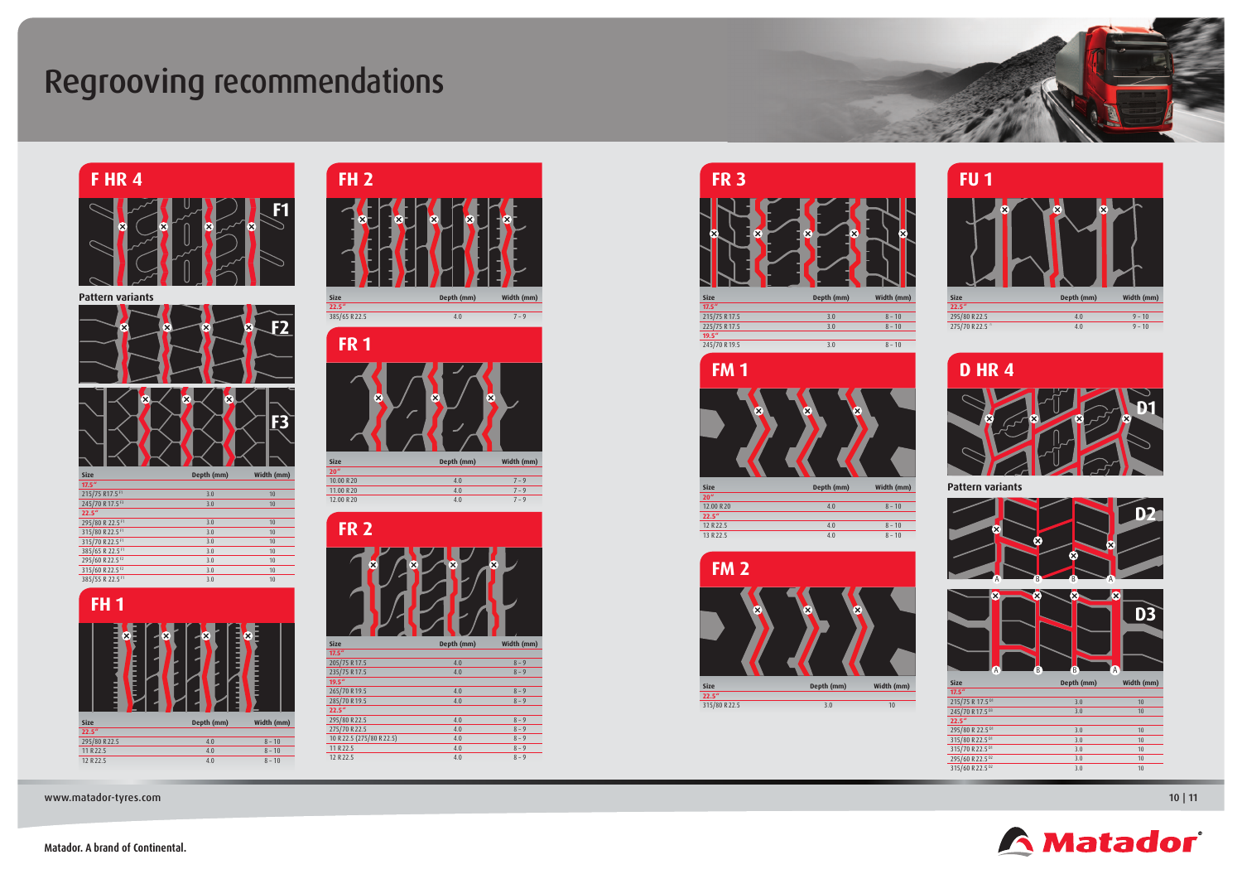#### **Matador. A brand of Continental.**



### Regrooving recommendations

#### **F HR 4**





www.matador-tyres.com and the community of the community of the community of the community of the community of  $\vert$  11  $\vert$ 

# **FH 2 Size Depth (mm) Width (mm) 22.5"**



12.00 R 20 4.0 7 – 9





| <b>Size</b> |                         | Depth (mm) | Width (mm) |
|-------------|-------------------------|------------|------------|
| 17.5''      |                         |            |            |
|             | 205/75 R17.5            | 4.0        | $8 - 9$    |
|             | 235/75 R17.5            | 4.0        | $8 - 9$    |
| 19.5''      |                         |            |            |
|             | 265/70 R19.5            | 4.0        | $8 - 9$    |
|             | 285/70 R19.5            | 4.0        | $8 - 9$    |
| 22.5''      |                         |            |            |
|             | 295/80 R22.5            | 4.0        | $8 - 9$    |
|             | 275/70 R22.5            | 4.0        | $8 - 9$    |
|             | 10 R22.5 (275/80 R22.5) | 4.0        | $8 - 9$    |
|             | 11 R 22.5               | 4.0        | $8 - 9$    |
|             | 12 R 22.5               | 4.0        | $8 - 9$    |
|             |                         |            |            |



| <b>FR3</b>                              |                                         |            |
|-----------------------------------------|-----------------------------------------|------------|
| $\overline{\mathsf{x}}$<br>$\mathsf{x}$ | $\overline{\mathsf{x}}$<br>$\mathbf{x}$ |            |
| <b>Size</b>                             | Depth (mm)                              | Width (mm) |
| 17.5''                                  |                                         |            |
| 215/75 R17.5                            | 3.0                                     | $8 - 10$   |
| 225/75 R17.5                            | 3.0                                     | $8 - 10$   |
| 19.5''                                  |                                         |            |
| 245/70 R19.5                            | 3.0                                     | $8 - 10$   |









**Pattern variants**

| <b>Size</b>                 | Depth (mm) | Width (mm) |
|-----------------------------|------------|------------|
| 17.5''                      |            |            |
| 215/75 R 17.5 <sup>01</sup> | 3.0        | 10         |
| 245/70 R17.5 D3             | 3.0        | 10         |
| 22.5''                      |            |            |
| 295/80 R 22.5 <sup>01</sup> | 3.0        | 10         |
| 315/80 R22.5 D1             | 3.0        | 10         |
| 315/70 R22.5 D1             | 3.0        | 10         |
| 295/60 R 22.5 DZ            | 3.0        | 10         |
| 315/60 R 22.5 02            | 3.0        | 10         |